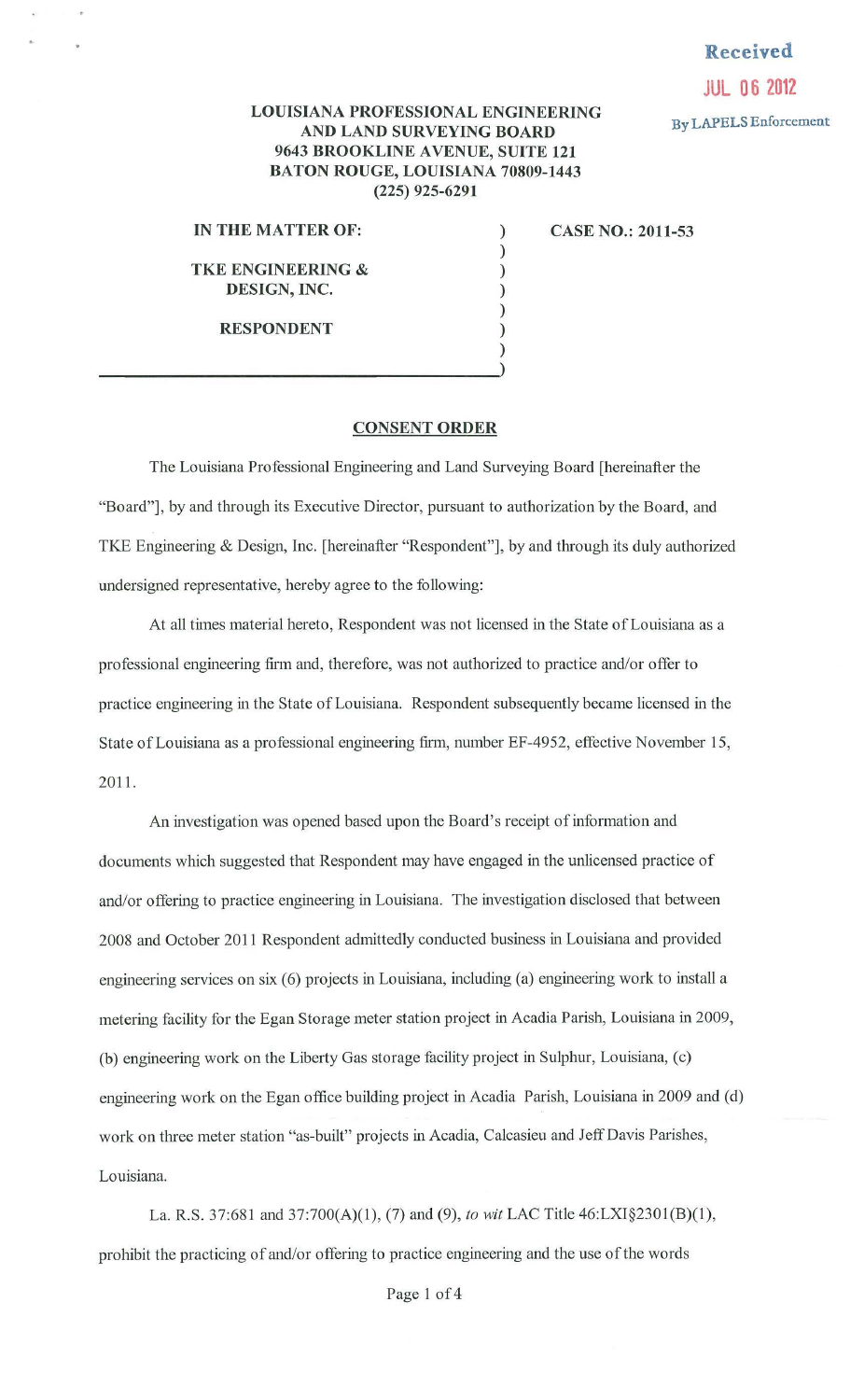## **Received JUL 06 2012**

## **LOUISIANA PROFESSIONAL ENGINEERING AND LAND SURVEYING BOARD By LAPELS Enforcement 9643 BROOKLINE A VENUE, SUITE 121 BATON ROUGE, LOUISIANA 70809-1443 (225) 925-6291**

) ) ) ) ) ) )

**IN THE MATTER OF:** 

**TKE ENGINEERING** & **DESIGN, INC.** 

**RESPONDENT** 

 $\frac{1}{2}$ 

**CASE NO.: 2011-53** 

**CONSENT ORDER** 

The Louisiana Professional Engineering and Land Surveying Board [hereinafter the "Board"], by and through its Executive Director, pursuant to authorization by the Board, and TKE Engineering & Design, Inc. [hereinafter "Respondent"], by and through its duly authorized undersigned representative, hereby agree to the following:

At all times material hereto, Respondent was not licensed in the State of Louisiana as a professional engineering firm and, therefore, was not authorized to practice and/or offer to practice engineering in the State of Louisiana. Respondent subsequently became licensed in the State of Louisiana as a professional engineering firm, number EF-4952, effective November 15, 2011.

An investigation was opened based upon the Board's receipt of information and documents which suggested that Respondent may have engaged in the unlicensed practice of and/or offering to practice engineering in Louisiana. The investigation disclosed that between 2008 and October 2011 Respondent admittedly conducted business in Louisiana and provided engineering services on six (6) projects in Louisiana, including (a) engineering work to install a metering facility for the Egan Storage meter station project in Acadia Parish, Louisiana in 2009, (b) engineering work on the Liberty Gas storage facility project in Sulphur, Louisiana, (c) engineering work on the Egan office building project in Acadia Parish, Louisiana in 2009 and (d) work on three meter station "as-built" projects in Acadia, Calcasieu and Jeff Davis Parishes, Louisiana.

La. R.S. 37:681 and 37:700(A)(l), (7) and (9), *to wit* LAC Title 46:LXI§2301(B)(1), prohibit the practicing of and/or offering to practice engineering and the use of the words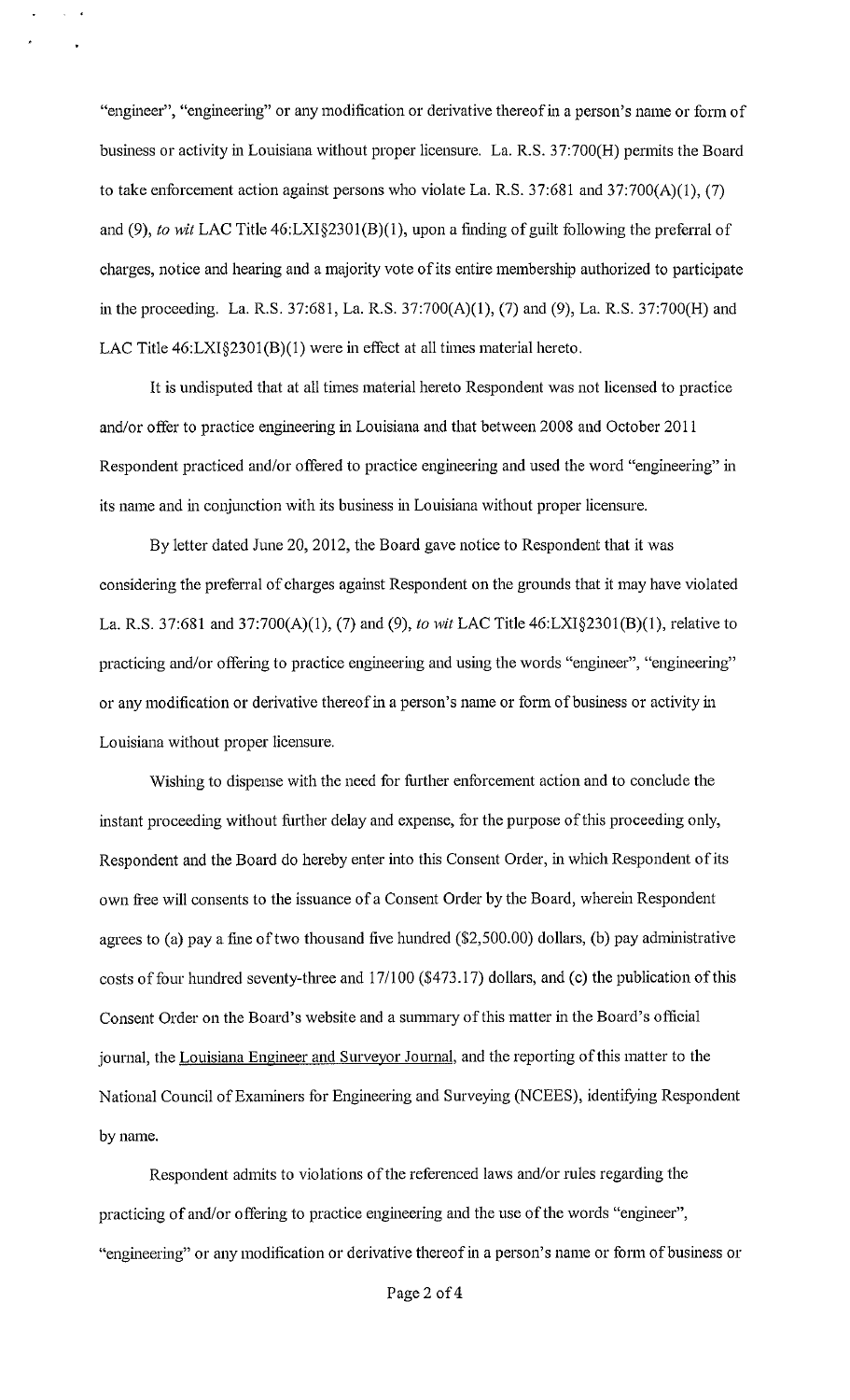"engineer", "engineering" or any modification or derivative thereof in a person's name or form of business or activity in Louisiana without proper licensure. La. R.S. 37:700(H) permits the Board to take enforcement action against persons who violate La. R.S.  $37:681$  and  $37:700(A)(1)$ , (7) and (9), *to wit* LAC Title 46:LXI§230l(B)(l), upon a finding of guilt following the preferral of charges, notice and hearing and a majority vote of its entire membership authorized to participate in the proceeding. La. R.S. 37:681, La. R.S. 37:700(A)(l), (7) and (9), La. R.S. 37:700(H) and LAC Title 46:LXI§2301(B)(1) were in effect at all times material hereto.

It is undisputed that at all times material hereto Respondent was not licensed to practice and/or offer to practice engineering in Louisiana and that between 2008 and October 2011 Respondent practiced and/or offered to practice engineering and used the word "engineering" in its name and in conjunction with its business in Louisiana without proper licensure.

By letter dated June 20, 2012, the Board gave notice to Respondent that it was considering the preferral of charges against Respondent on the grounds that it may have violated La. R.S. 37:681 and 37:700(A)(l), (7) and (9), *to wit* LAC Title 46:LXI§230l(B)(l), relative to practicing and/or offering to practice engineering and using the words "engineer", "engineering" or any modification or derivative thereof in a person's name or form of business or activity in Louisiana without proper licensure.

Wishing to dispense with the need for further enforcement action and to conclude the instant proceeding without further delay and expense, for the purpose of this proceeding only, Respondent and the Board do hereby enter into this Consent Order, in which Respondent of its own free will consents to the issuance of a Consent Order by the Board, wherein Respondent agrees to (a) pay a fine of two thousand five hundred (\$2,500.00) dollars, (b) pay administrative costs of four hundred seventy-three and 17/100 (\$473.17) dollars, and (c) the publication of this Consent Order on the Board's website and a summary of this matter in the Board's official journal, the Louisiana Engineer and Surveyor Journal, and the reporting of this matter to the National Council of Examiners for Engineering and Surveying (NCEES), identifying Respondent by name.

Respondent admits to violations of the referenced laws and/or rules regarding the practicing of and/or offering to practice engineering and the use of the words "engineer", "engineering" or any modification or derivative thereof in a person's name or form of business or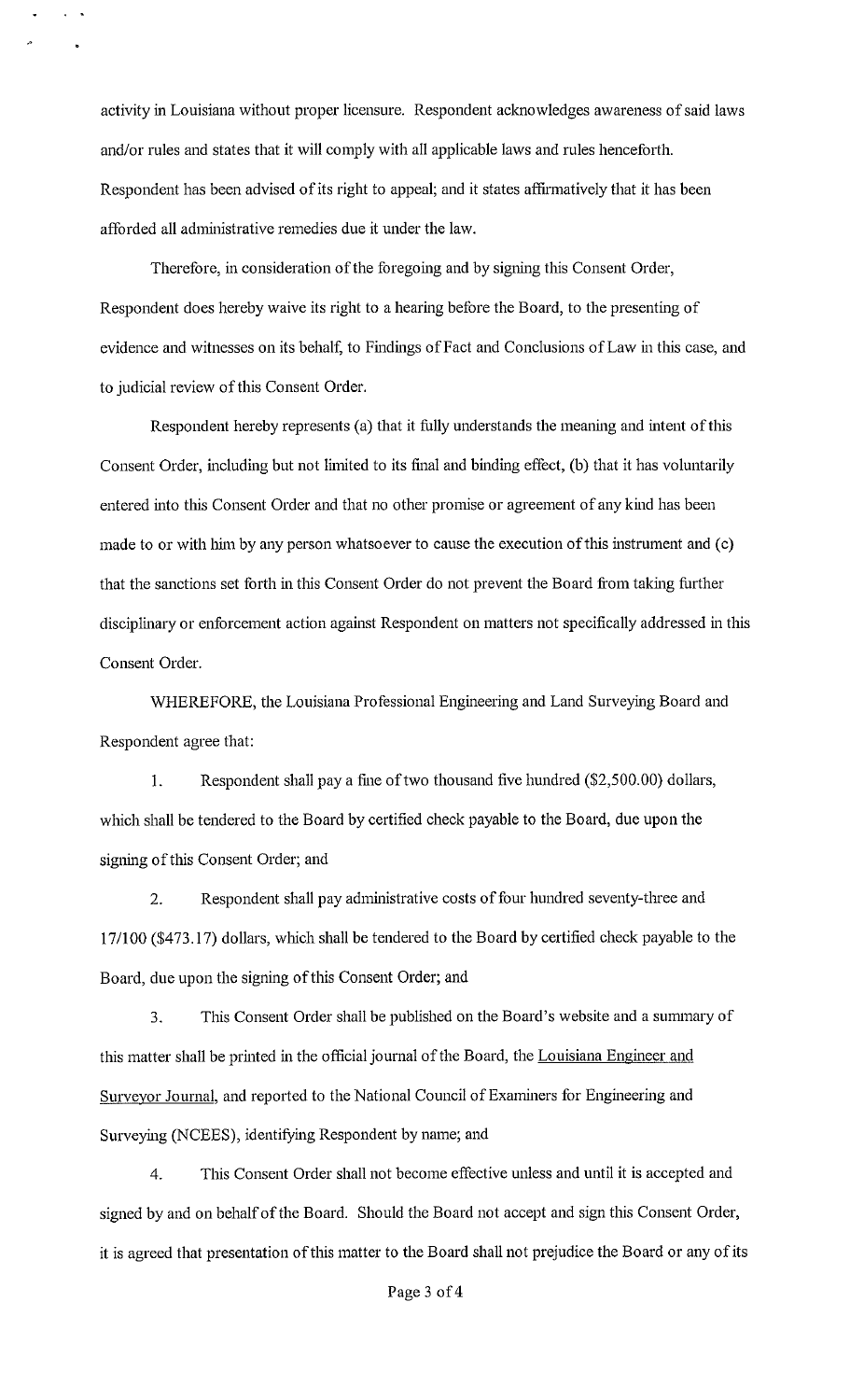activity in Louisiana without proper licensure. Respondent acknowledges awareness of said laws and/or rules and states that it will comply with all applicable laws and rules henceforth. Respondent has been advised of its right to appeal; and it states affirmatively that it has been afforded all administrative remedies due it under the law.

Therefore, in consideration of the foregoing and by signing this Consent Order, Respondent does hereby waive its right to a hearing before the Board, to the presenting of evidence and witnesses on its behalf, to Findings of Fact and Conclusions of Law in this case, and to judicial review of this Consent Order.

Respondent hereby represents (a) that it fully understands the meaning and intent of this Consent Order, including but not limited to its final and binding effect, (b) that it has voluntarily entered into this Consent Order and that no other promise or agreement of any kind has been made to or with him by any person whatsoever to cause the execution of this instrument and (c) that the sanctions set forth in this Consent Order do not prevent the Board from taking further disciplinary or enforcement action against Respondent on matters not specifically addressed in this Consent Order.

WHEREFORE, the Louisiana Professional Engineering and Land Surveying Board and Respondent agree that:

I. Respondent shall pay a fine of two thousand five hundred (\$2,500.00) dollars, which shall be tendered to the Board by certified check payable to the Board, due upon the signing of this Consent Order; and

2. Respondent shall pay administrative costs of four hundred seventy-three and 17/100 (\$473.17) dollars, which shall be tendered to the Board by certified check payable to the Board, due upon the signing of this Consent Order; and

3. This Consent Order shall be published on the Board's website and a summary of this matter shall be printed in the official journal of the Board, the Louisiana Engineer and Surveyor Journal, and reported to the National Council of Examiners for Engineering and Surveying (NCEES), identifying Respondent by name; and

4. This Consent Order shall not become effective unless and until it is accepted and signed by and on behalf of the Board. Should the Board not accept and sign this Consent Order, it is agreed that presentation of this matter to the Board shall not prejudice the Board or any of its